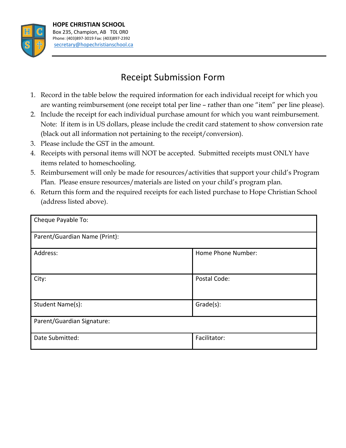

## Receipt Submission Form

- 1. Record in the table below the required information for each individual receipt for which you are wanting reimbursement (one receipt total per line – rather than one "item" per line please).
- 2. Include the receipt for each individual purchase amount for which you want reimbursement. Note: If item is in US dollars, please include the credit card statement to show conversion rate (black out all information not pertaining to the receipt/conversion).
- 3. Please include the GST in the amount.
- 4. Receipts with personal items will NOT be accepted. Submitted receipts must ONLY have items related to homeschooling.
- 5. Reimbursement will only be made for resources/activities that support your child's Program Plan. Please ensure resources/materials are listed on your child's program plan.
- 6. Return this form and the required receipts for each listed purchase to Hope Christian School (address listed above).

| Cheque Payable To:            |                    |  |  |  |  |  |
|-------------------------------|--------------------|--|--|--|--|--|
| Parent/Guardian Name (Print): |                    |  |  |  |  |  |
| Address:                      | Home Phone Number: |  |  |  |  |  |
| City:                         | Postal Code:       |  |  |  |  |  |
| Student Name(s):              | Grade(s):          |  |  |  |  |  |
| Parent/Guardian Signature:    |                    |  |  |  |  |  |
| Date Submitted:               | Facilitator:       |  |  |  |  |  |